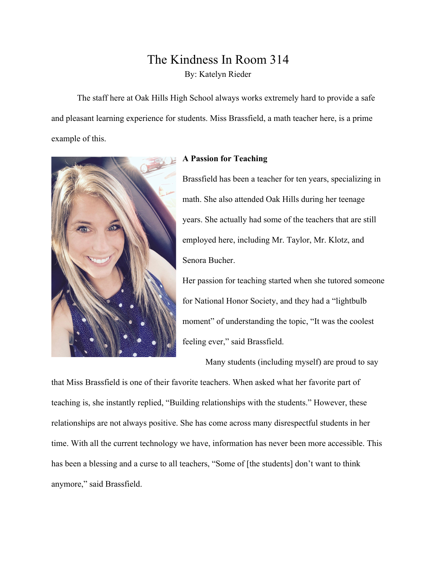## The Kindness In Room 314 By: Katelyn Rieder

The staff here at Oak Hills High School always works extremely hard to provide a safe and pleasant learning experience for students. Miss Brassfield, a math teacher here, is a prime example of this.



## **A Passion for Teaching**

Brassfield has been a teacher for ten years, specializing in math. She also attended Oak Hills during her teenage years. She actually had some of the teachers that are still employed here, including Mr. Taylor, Mr. Klotz, and Senora Bucher.

Her passion for teaching started when she tutored someone for National Honor Society, and they had a "lightbulb moment" of understanding the topic, "It was the coolest feeling ever," said Brassfield.

Many students (including myself) are proud to say

that Miss Brassfield is one of their favorite teachers. When asked what her favorite part of teaching is, she instantly replied, "Building relationships with the students." However, these relationships are not always positive. She has come across many disrespectful students in her time. With all the current technology we have, information has never been more accessible. This has been a blessing and a curse to all teachers, "Some of [the students] don't want to think anymore," said Brassfield.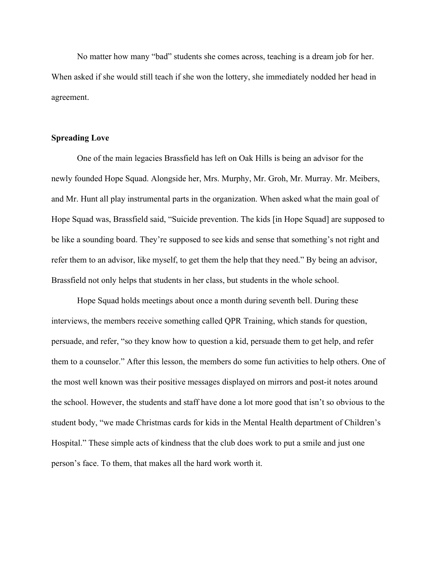No matter how many "bad" students she comes across, teaching is a dream job for her. When asked if she would still teach if she won the lottery, she immediately nodded her head in agreement.

## **Spreading Love**

One of the main legacies Brassfield has left on Oak Hills is being an advisor for the newly founded Hope Squad. Alongside her, Mrs. Murphy, Mr. Groh, Mr. Murray. Mr. Meibers, and Mr. Hunt all play instrumental parts in the organization. When asked what the main goal of Hope Squad was, Brassfield said, "Suicide prevention. The kids [in Hope Squad] are supposed to be like a sounding board. They're supposed to see kids and sense that something's not right and refer them to an advisor, like myself, to get them the help that they need." By being an advisor, Brassfield not only helps that students in her class, but students in the whole school.

Hope Squad holds meetings about once a month during seventh bell. During these interviews, the members receive something called QPR Training, which stands for question, persuade, and refer, "so they know how to question a kid, persuade them to get help, and refer them to a counselor." After this lesson, the members do some fun activities to help others. One of the most well known was their positive messages displayed on mirrors and post-it notes around the school. However, the students and staff have done a lot more good that isn't so obvious to the student body, "we made Christmas cards for kids in the Mental Health department of Children's Hospital." These simple acts of kindness that the club does work to put a smile and just one person's face. To them, that makes all the hard work worth it.